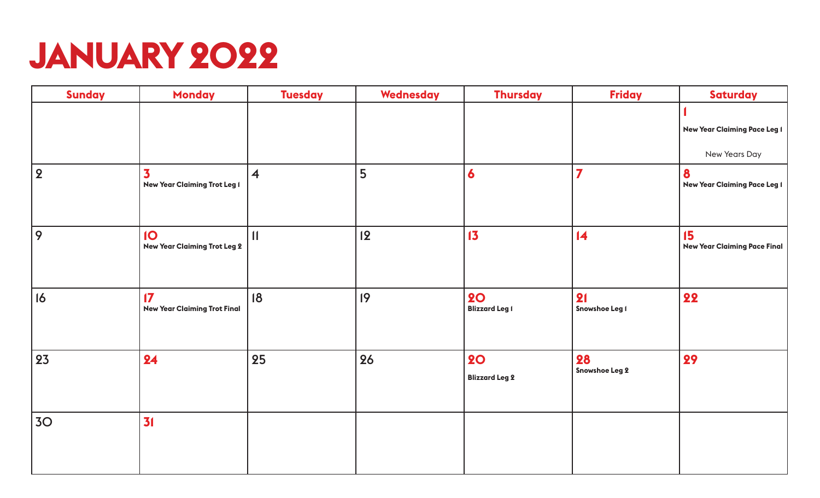## **JANUARY 2022**

| <b>Sunday</b>   | <b>Monday</b>                                                  | <b>Tuesday</b>          | Wednesday | <b>Thursday</b>                    | <b>Friday</b>           | <b>Saturday</b>                                      |
|-----------------|----------------------------------------------------------------|-------------------------|-----------|------------------------------------|-------------------------|------------------------------------------------------|
|                 |                                                                |                         |           |                                    |                         | <b>New Year Claiming Pace Leg 1</b><br>New Years Day |
| 2               | $\overline{\mathbf{3}}$<br><b>New Year Claiming Trot Leg I</b> | $\overline{\mathbf{4}}$ | 5         | 6                                  | $\overline{\mathbf{z}}$ | 8<br><b>New Year Claiming Pace Leg I</b>             |
| 9               | IO<br><b>New Year Claiming Trot Leg 2</b>                      | $\mathbf{11}$           | 12        | 13                                 | $\overline{14}$         | 15<br><b>New Year Claiming Pace Final</b>            |
| 16              | $\sqrt{7}$<br><b>New Year Claiming Trot Final</b>              | 18                      | 9         | <b>20</b><br><b>Blizzard Leg 1</b> | 21<br>Snowshoe Leg I    | 22                                                   |
| 23              | 24                                                             | 25                      | 26        | <b>20</b><br><b>Blizzard Leg 2</b> | 28<br>Snowshoe Leg 2    | 29                                                   |
| 30 <sub>o</sub> | 31                                                             |                         |           |                                    |                         |                                                      |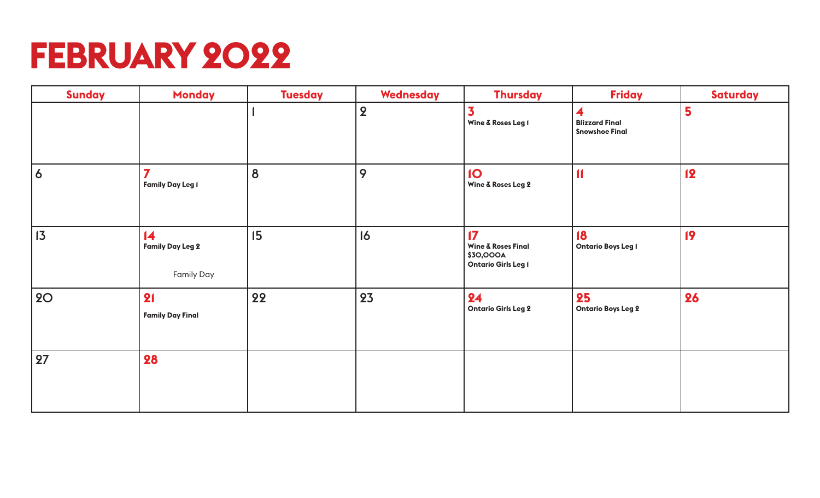## **FEBRUARY 2022**

| <b>Sunday</b>  | <b>Monday</b>                                                   | <b>Tuesday</b> | Wednesday      | <b>Thursday</b>                                                                           | <b>Friday</b>                                       | <b>Saturday</b> |
|----------------|-----------------------------------------------------------------|----------------|----------------|-------------------------------------------------------------------------------------------|-----------------------------------------------------|-----------------|
|                |                                                                 |                | $\overline{2}$ | $\overline{\mathbf{3}}$<br>Wine & Roses Leg I                                             | 4<br><b>Blizzard Final</b><br><b>Snowshoe Final</b> | 5               |
| $\overline{6}$ | $\overline{7}$<br><b>Family Day Leg 1</b>                       | 8              | 9              | <b>10</b><br>Wine & Roses Leg 2                                                           | $\blacksquare$                                      | <b>12</b>       |
| 13             | $\overline{14}$<br><b>Family Day Leg 2</b><br><b>Family Day</b> | 15             | 16             | $\mathbf{17}$<br><b>Wine &amp; Roses Final</b><br>\$30,000A<br><b>Ontario Girls Leg I</b> | 18<br><b>Ontario Boys Leg I</b>                     | 19              |
| <b>20</b>      | 21<br><b>Family Day Final</b>                                   | 22             | 23             | 24<br><b>Ontario Girls Leg 2</b>                                                          | 25<br><b>Ontario Boys Leg 2</b>                     | 26              |
| 27             | 28                                                              |                |                |                                                                                           |                                                     |                 |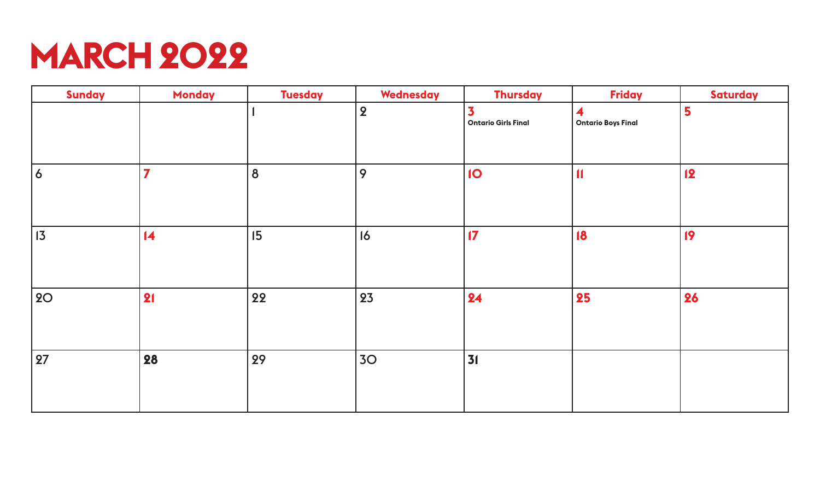

| <b>Sunday</b> | <b>Monday</b>   | <b>Tuesday</b>   | Wednesday       | <b>Thursday</b>                                       | <b>Friday</b>                  | <b>Saturday</b> |
|---------------|-----------------|------------------|-----------------|-------------------------------------------------------|--------------------------------|-----------------|
|               |                 |                  | $\overline{2}$  | $\overline{\mathbf{3}}$<br><b>Ontario Girls Final</b> | 4<br><b>Ontario Boys Final</b> | 5               |
| 6             | $\overline{7}$  | $\boldsymbol{8}$ | 9               | $\overline{10}$                                       | $\mathbf{I}$                   | 12              |
| $ 13\rangle$  | $\overline{14}$ | 15               | 16              | $\overline{17}$                                       | 18                             | 19              |
| <b>20</b>     | 21              | 22               | 23              | 24                                                    | 25                             | 26              |
| 27            | 28              | 29               | 30 <sub>o</sub> | 31                                                    |                                |                 |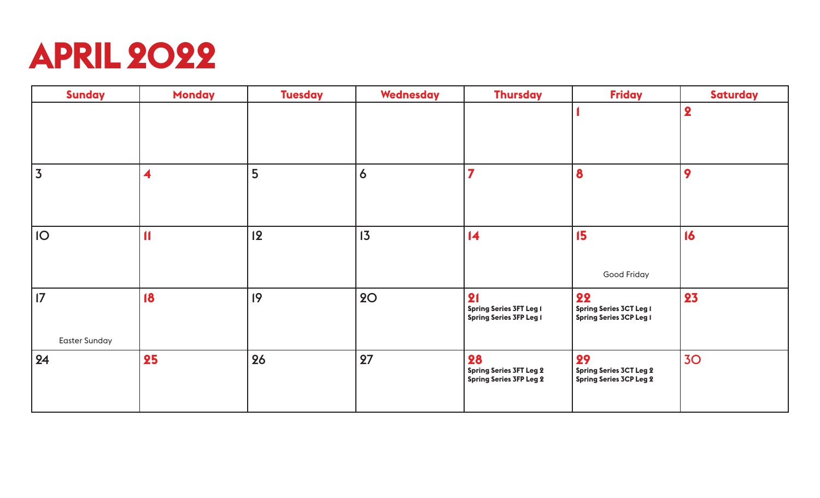

| <b>Sunday</b>               | <b>Monday</b>           | <b>Tuesday</b> | <b>Wednesday</b> | <b>Thursday</b>                                                        | <b>Friday</b>                                                          | <b>Saturday</b>         |
|-----------------------------|-------------------------|----------------|------------------|------------------------------------------------------------------------|------------------------------------------------------------------------|-------------------------|
|                             |                         |                |                  |                                                                        |                                                                        | $\overline{\mathbf{2}}$ |
| $\overline{3}$              | $\overline{\mathbf{4}}$ | 5              | $\boldsymbol{6}$ | $\overline{\mathbf{z}}$                                                | 8                                                                      | 9                       |
| <b>IO</b>                   | $\blacksquare$          | 12             | 13               | $\overline{14}$                                                        | 15<br>Good Friday                                                      | 16                      |
| 17 <br><b>Easter Sunday</b> | 18                      | 9              | <b>20</b>        | 21<br><b>Spring Series 3FT Leg I</b><br><b>Spring Series 3FP Leg 1</b> | 22<br><b>Spring Series 3CT Leg I</b><br><b>Spring Series 3CP Leg 1</b> | 23                      |
| 24                          | 25                      | 26             | 27               | 28<br><b>Spring Series 3FT Leg 2</b><br><b>Spring Series 3FP Leg 2</b> | 29<br><b>Spring Series 3CT Leg 2</b><br><b>Spring Series 3CP Leg 2</b> | 30 <sub>o</sub>         |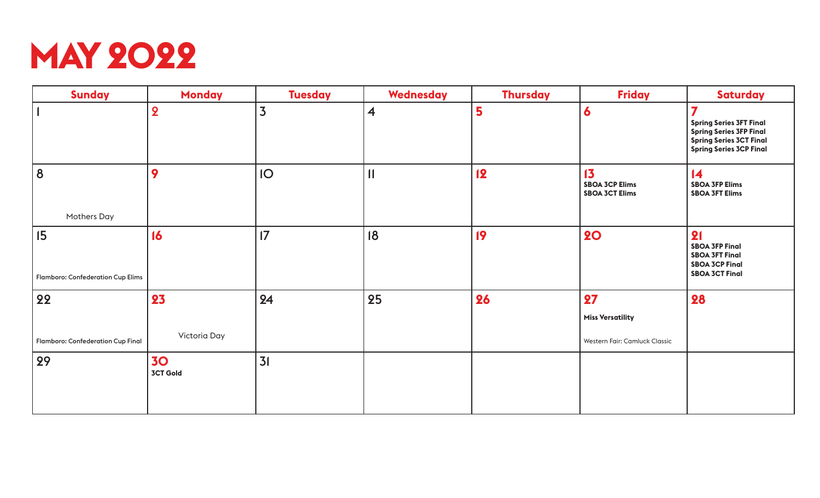

| <b>Sunday</b>                                  | <b>Monday</b>                | <b>Tuesday</b>  | <b>Wednesday</b>        | <b>Thursday</b> | <b>Friday</b>                                        | <b>Saturday</b>                                                                                                                           |
|------------------------------------------------|------------------------------|-----------------|-------------------------|-----------------|------------------------------------------------------|-------------------------------------------------------------------------------------------------------------------------------------------|
|                                                | $\overline{2}$               | $\overline{3}$  | $\overline{\mathbf{4}}$ | 5               | 6                                                    | 7<br><b>Spring Series 3FT Final</b><br><b>Spring Series 3FP Final</b><br><b>Spring Series 3CT Final</b><br><b>Spring Series 3CP Final</b> |
| 8<br><b>Mothers Day</b>                        | 9                            | IO              | $\mathbf{1}$            | <b>12</b>       | 13<br><b>SBOA 3CP Elims</b><br><b>SBOA 3CT Elims</b> | $\overline{14}$<br><b>SBOA 3FP Elims</b><br><b>SBOA 3FT Elims</b>                                                                         |
| 15<br><b>Flamboro: Confederation Cup Elims</b> | 16                           | $\overline{17}$ | 18                      | 19              | <b>20</b>                                            | 21<br><b>SBOA 3FP Final</b><br><b>SBOA 3FT Final</b><br><b>SBOA 3CP Final</b><br><b>SBOA 3CT Final</b>                                    |
| 22                                             | 23                           | 24              | 25                      | 26              | 27                                                   | 28                                                                                                                                        |
|                                                |                              |                 |                         |                 | <b>Miss Versatility</b>                              |                                                                                                                                           |
| Flamboro: Confederation Cup Final              | Victoria Day                 |                 |                         |                 | Western Fair: Camluck Classic                        |                                                                                                                                           |
| 29                                             | <b>30</b><br><b>3CT Gold</b> | 31              |                         |                 |                                                      |                                                                                                                                           |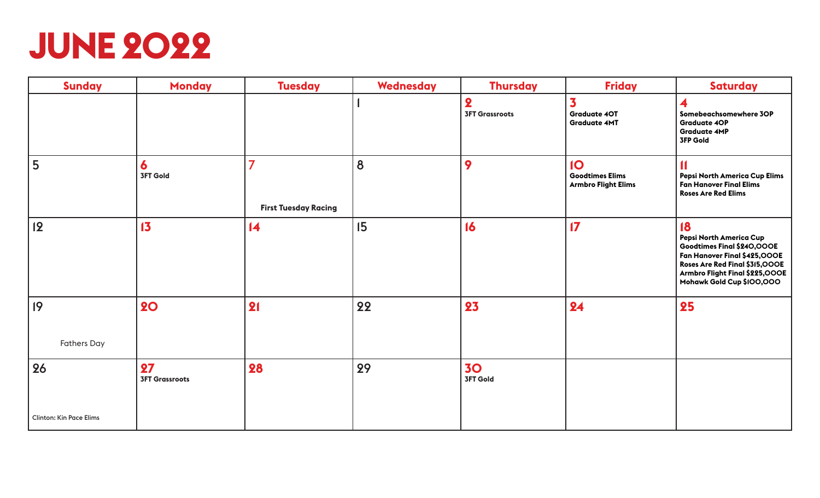

| <b>Sunday</b>                  | <b>Monday</b>               | <b>Tuesday</b>                   | <b>Wednesday</b> | <b>Thursday</b>                                  | <b>Friday</b>                                                           | <b>Saturday</b>                                                                                                                                                                              |
|--------------------------------|-----------------------------|----------------------------------|------------------|--------------------------------------------------|-------------------------------------------------------------------------|----------------------------------------------------------------------------------------------------------------------------------------------------------------------------------------------|
|                                |                             |                                  |                  | $\overline{\mathbf{2}}$<br><b>3FT Grassroots</b> | 3<br><b>Graduate 40T</b><br><b>Graduate 4MT</b>                         | 4<br>Somebeachsomewhere 3OP<br><b>Graduate 4OP</b><br><b>Graduate 4MP</b><br><b>3FP Gold</b>                                                                                                 |
| 5                              | 6<br><b>3FT Gold</b>        | 7<br><b>First Tuesday Racing</b> | 8                | 9                                                | $\overline{10}$<br><b>Goodtimes Elims</b><br><b>Armbro Flight Elims</b> | $\blacksquare$<br>Pepsi North America Cup Elims<br><b>Fan Hanover Final Elims</b><br><b>Roses Are Red Elims</b>                                                                              |
| 2                              | 13                          | $\overline{14}$                  | 15               | 16                                               | $\mathbf{17}$                                                           | 18<br>Pepsi North America Cup<br>Goodtimes Final \$240,000E<br>Fan Hanover Final \$425,000E<br>Roses Are Red Final \$315,000E<br>Armbro Flight Final \$225,000E<br>Mohawk Gold Cup \$100,000 |
| 9 <br><b>Fathers Day</b>       | <b>20</b>                   | 21                               | 22               | 23                                               | 24                                                                      | 25                                                                                                                                                                                           |
|                                |                             |                                  |                  |                                                  |                                                                         |                                                                                                                                                                                              |
| 26                             | 27<br><b>3FT Grassroots</b> | 28                               | 29               | <b>30</b><br><b>3FT Gold</b>                     |                                                                         |                                                                                                                                                                                              |
| <b>Clinton: Kin Pace Elims</b> |                             |                                  |                  |                                                  |                                                                         |                                                                                                                                                                                              |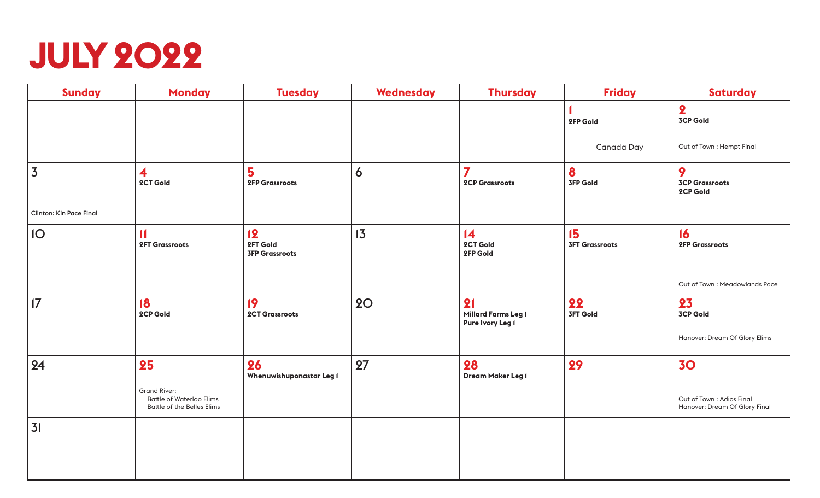

| <b>Sunday</b>           | <b>Monday</b>                                                                               | <b>Tuesday</b>                          | <b>Wednesday</b> | <b>Thursday</b>                                  | <b>Friday</b>               | <b>Saturday</b>                                           |
|-------------------------|---------------------------------------------------------------------------------------------|-----------------------------------------|------------------|--------------------------------------------------|-----------------------------|-----------------------------------------------------------|
|                         |                                                                                             |                                         |                  |                                                  | 2FP Gold                    | $\overline{\mathbf{2}}$<br><b>3CP Gold</b>                |
|                         |                                                                                             |                                         |                  |                                                  | Canada Day                  | Out of Town: Hempt Final                                  |
| $\overline{3}$          | 4<br>2CT Gold                                                                               | 5<br><b>2FP Grassroots</b>              | 6                | $\overline{\mathbf{z}}$<br><b>2CP Grassroots</b> | 8<br><b>3FP Gold</b>        | 9<br><b>3CP Grassroots</b><br>2CP Gold                    |
| Clinton: Kin Pace Final |                                                                                             |                                         |                  |                                                  |                             |                                                           |
| IO                      | $\blacksquare$<br><b>2FT Grassroots</b>                                                     | 12<br>2FT Gold<br><b>3FP Grassroots</b> | 13               | $\overline{14}$<br>2CT Gold<br>2FP Gold          | 15<br><b>3FT Grassroots</b> | 16<br><b>2FP Grassroots</b>                               |
|                         |                                                                                             |                                         |                  |                                                  |                             | Out of Town: Meadowlands Pace                             |
| 17                      | $\overline{18}$<br>2CP Gold                                                                 | 19<br><b>2CT Grassroots</b>             | <b>20</b>        | 21<br>Millard Farms Leg I<br>Pure Ivory Leg I    | 22<br><b>3FT Gold</b>       | 23<br><b>3CP Gold</b>                                     |
|                         |                                                                                             |                                         |                  |                                                  |                             | Hanover: Dream Of Glory Elims                             |
| 24                      | 25                                                                                          | 26<br>Whenuwishuponastar Leg I          | 27               | 28<br>Dream Maker Leg I                          | 29                          | 30                                                        |
|                         | <b>Grand River:</b><br><b>Battle of Waterloo Elims</b><br><b>Battle of the Belles Elims</b> |                                         |                  |                                                  |                             | Out of Town: Adios Final<br>Hanover: Dream Of Glory Final |
| 31                      |                                                                                             |                                         |                  |                                                  |                             |                                                           |
|                         |                                                                                             |                                         |                  |                                                  |                             |                                                           |
|                         |                                                                                             |                                         |                  |                                                  |                             |                                                           |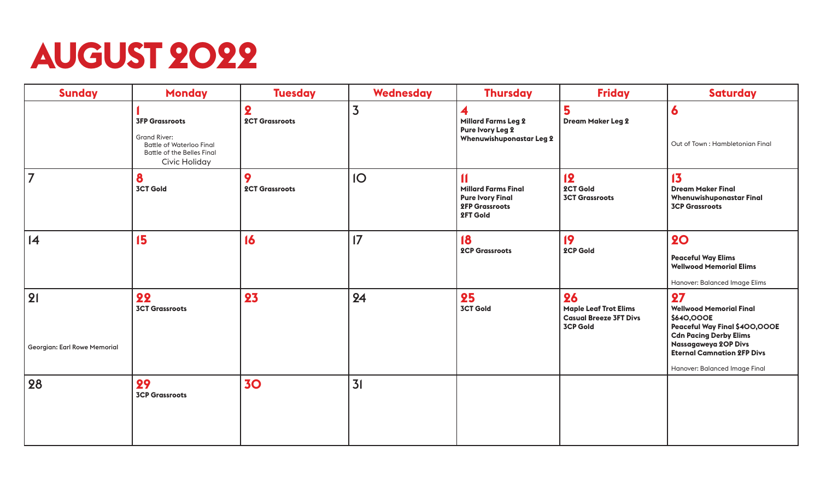# **AUGUST 2022**

| <b>Sunday</b>                      | <b>Monday</b>                                                                                                                  | <b>Tuesday</b>                                   | <b>Wednesday</b> | <b>Thursday</b>                                                                                              | <b>Friday</b>                                                                          | <b>Saturday</b>                                                                                                                                                                                                    |
|------------------------------------|--------------------------------------------------------------------------------------------------------------------------------|--------------------------------------------------|------------------|--------------------------------------------------------------------------------------------------------------|----------------------------------------------------------------------------------------|--------------------------------------------------------------------------------------------------------------------------------------------------------------------------------------------------------------------|
|                                    | <b>3FP Grassroots</b><br><b>Grand River:</b><br><b>Battle of Waterloo Final</b><br>Battle of the Belles Final<br>Civic Holiday | $\overline{\mathbf{2}}$<br><b>2CT Grassroots</b> | 3                | 4<br><b>Millard Farms Leg 2</b><br>Pure Ivory Leg 2<br><b>Whenuwishuponastar Leg 2</b>                       | 5<br><b>Dream Maker Leg 2</b>                                                          | 6<br>Out of Town: Hambletonian Final                                                                                                                                                                               |
| $\overline{7}$                     | 8<br><b>3CT Gold</b>                                                                                                           | 9<br><b>2CT Grassroots</b>                       | IO               | $\blacksquare$<br><b>Millard Farms Final</b><br><b>Pure Ivory Final</b><br><b>2FP Grassroots</b><br>2FT Gold | 12<br>2CT Gold<br><b>3CT Grassroots</b>                                                | 13<br><b>Dream Maker Final</b><br><b>Whenuwishuponastar Final</b><br><b>3CP Grassroots</b>                                                                                                                         |
| 4                                  | 15                                                                                                                             | 16                                               | $\overline{17}$  | 18<br><b>2CP Grassroots</b>                                                                                  | 19<br>2CP Gold                                                                         | <b>20</b><br><b>Peaceful Way Elims</b><br><b>Wellwood Memorial Elims</b><br>Hanover: Balanced Image Elims                                                                                                          |
| 21<br>Georgian: Earl Rowe Memorial | 22<br><b>3CT Grassroots</b>                                                                                                    | 23                                               | 24               | 25<br><b>3CT Gold</b>                                                                                        | 26<br><b>Maple Leaf Trot Elims</b><br><b>Casual Breeze 3FT Divs</b><br><b>3CP Gold</b> | 27<br><b>Wellwood Memorial Final</b><br>\$640,000E<br>Peaceful Way Final \$400,000E<br><b>Cdn Pacing Derby Elims</b><br>Nassagaweya 20P Divs<br><b>Eternal Camnation 2FP Divs</b><br>Hanover: Balanced Image Final |
| 28                                 | 29<br><b>3CP Grassroots</b>                                                                                                    | 30                                               | 31               |                                                                                                              |                                                                                        |                                                                                                                                                                                                                    |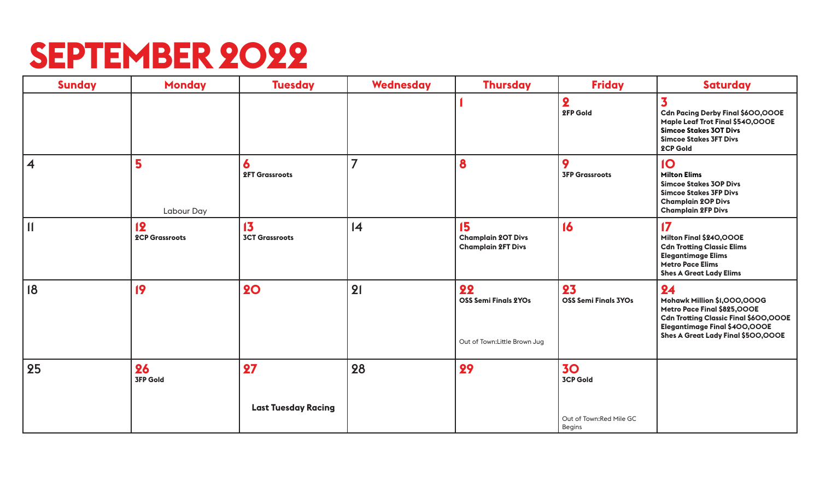#### **SEPTEMBER 2022**

| <b>Sunday</b>           | <b>Monday</b>               | <b>Tuesday</b>              | <b>Wednesday</b> | <b>Thursday</b>                                                    | <b>Friday</b>                       | <b>Saturday</b>                                                                                                                                                                         |
|-------------------------|-----------------------------|-----------------------------|------------------|--------------------------------------------------------------------|-------------------------------------|-----------------------------------------------------------------------------------------------------------------------------------------------------------------------------------------|
|                         |                             |                             |                  |                                                                    | $\overline{\mathbf{2}}$<br>2FP Gold | 3<br>Cdn Pacing Derby Final \$600,000E<br>Maple Leaf Trot Final \$540,000E<br><b>Simcoe Stakes 3OT Divs</b><br><b>Simcoe Stakes 3FT Divs</b><br>2CP Gold                                |
| $\overline{\mathbf{4}}$ | 5<br>Labour Day             | 6<br><b>2FT Grassroots</b>  | $\overline{7}$   | 8                                                                  | 9<br><b>3FP Grassroots</b>          | 10<br><b>Milton Elims</b><br><b>Simcoe Stakes 3OP Divs</b><br><b>Simcoe Stakes 3FP Divs</b><br><b>Champlain 2OP Divs</b><br><b>Champlain 2FP Divs</b>                                   |
| $\vert$                 | 12<br><b>2CP Grassroots</b> | 13<br><b>3CT Grassroots</b> | 4                | 15<br><b>Champlain 20T Divs</b><br><b>Champlain 2FT Divs</b>       | 16                                  | $\mathbf{17}$<br>Milton Final \$240,000E<br><b>Cdn Trotting Classic Elims</b><br><b>Elegantimage Elims</b><br><b>Metro Pace Elims</b><br><b>Shes A Great Lady Elims</b>                 |
| 18                      | 19                          | <b>20</b>                   | 21               | 22<br><b>OSS Semi Finals 2YOs</b><br>Out of Town: Little Brown Jug | 23<br><b>OSS Semi Finals 3YOs</b>   | 24<br>Mohawk Million \$1,000,000G<br>Metro Pace Final \$825,000E<br><b>Cdn Trotting Classic Final \$600,000E</b><br>Elegantimage Final \$400,000E<br>Shes A Great Lady Final \$500,000E |
| 25                      | 26<br><b>3FP Gold</b>       | 27                          | 28               | 29                                                                 | <b>30</b><br><b>3CP Gold</b>        |                                                                                                                                                                                         |
|                         |                             | <b>Last Tuesday Racing</b>  |                  |                                                                    | Out of Town:Red Mile GC<br>Begins   |                                                                                                                                                                                         |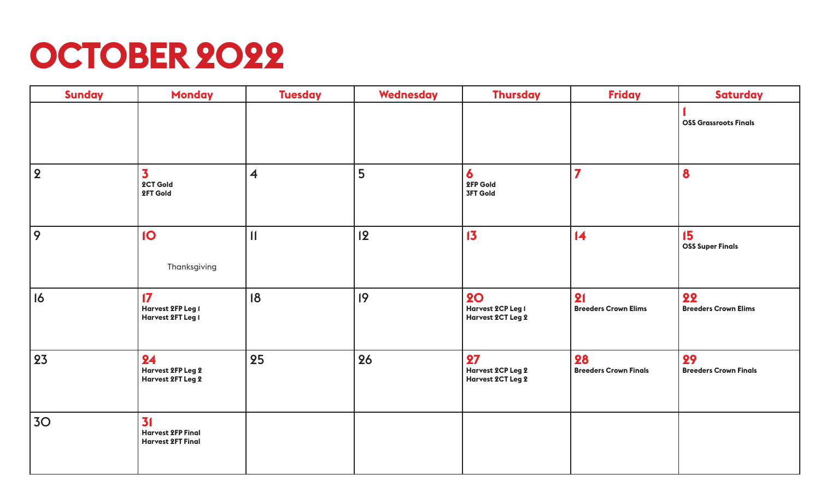# **OCTOBER 2022**

| <b>Sunday</b>  | <b>Monday</b>                                              | <b>Tuesday</b>          | Wednesday | <b>Thursday</b>                                     | <b>Friday</b>                      | <b>Saturday</b>                    |
|----------------|------------------------------------------------------------|-------------------------|-----------|-----------------------------------------------------|------------------------------------|------------------------------------|
|                |                                                            |                         |           |                                                     |                                    | <b>OSS Grassroots Finals</b>       |
| $\overline{2}$ | $\overline{\mathbf{3}}$<br>2CT Gold<br>2FT Gold            | $\overline{\mathbf{4}}$ | 5         | 6<br>2FP Gold<br><b>3FT Gold</b>                    | $\overline{\mathbf{z}}$            | 8                                  |
| 9              | IO<br>Thanksgiving                                         | $\mathbf{1}$            | 2         | 13                                                  | $\overline{14}$                    | 15<br><b>OSS Super Finals</b>      |
| 16             | $\mathbf{17}$<br>Harvest 2FP Leg I<br>Harvest 2FT Leg I    | 18                      | 9         | <b>20</b><br>Harvest 2CP Leg I<br>Harvest 2CT Leg 2 | 21<br><b>Breeders Crown Elims</b>  | 22<br><b>Breeders Crown Elims</b>  |
| 23             | 24<br>Harvest 2FP Leg 2<br>Harvest 2FT Leg 2               | 25                      | 26        | 27<br>Harvest 2CP Leg 2<br>Harvest 2CT Leg 2        | 28<br><b>Breeders Crown Finals</b> | 29<br><b>Breeders Crown Finals</b> |
| 3 <sub>O</sub> | 31<br><b>Harvest 2FP Final</b><br><b>Harvest 2FT Final</b> |                         |           |                                                     |                                    |                                    |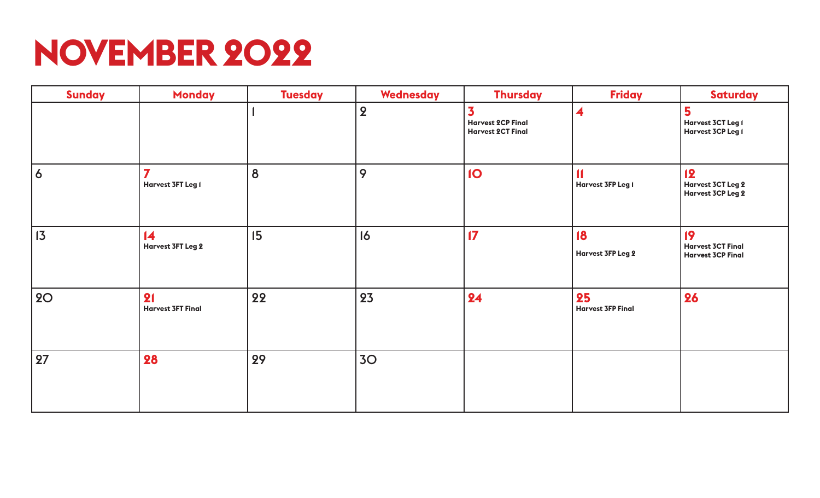## **NOVEMBER 2022**

| <b>Sunday</b>  | <b>Monday</b>                               | <b>Tuesday</b> | Wednesday      | <b>Thursday</b>                                                                 | <b>Friday</b>                  | <b>Saturday</b>                                            |
|----------------|---------------------------------------------|----------------|----------------|---------------------------------------------------------------------------------|--------------------------------|------------------------------------------------------------|
|                |                                             |                | 2              | $\overline{\mathbf{3}}$<br><b>Harvest 2CP Final</b><br><b>Harvest 2CT Final</b> | 4                              | 5<br>Harvest 3CT Leg I<br>Harvest 3CP Leg 1                |
| $\overline{6}$ | $\overline{7}$<br><b>Harvest 3FT Leg I</b>  | 8              | 9              | IO                                                                              | <b>Harvest 3FP Leg I</b>       | 12<br>Harvest 3CT Leg 2<br><b>Harvest 3CP Leg 2</b>        |
| $ 13\rangle$   | $\overline{14}$<br><b>Harvest 3FT Leg 2</b> | 15             | 16             | $\overline{17}$                                                                 | 18<br><b>Harvest 3FP Leg 2</b> | 19<br><b>Harvest 3CT Final</b><br><b>Harvest 3CP Final</b> |
| <b>20</b>      | 21<br><b>Harvest 3FT Final</b>              | 22             | 23             | 24                                                                              | 25<br><b>Harvest 3FP Final</b> | 26                                                         |
| 27             | 28                                          | 29             | 3 <sub>O</sub> |                                                                                 |                                |                                                            |